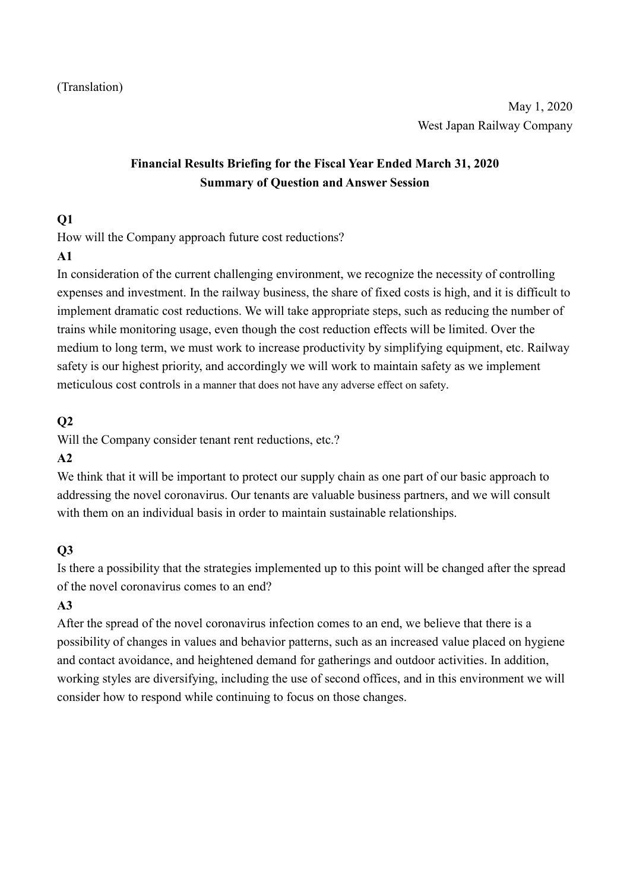# **Financial Results Briefing for the Fiscal Year Ended March 31, 2020 Summary of Question and Answer Session**

#### **Q1**

How will the Company approach future cost reductions?

#### **A1**

In consideration of the current challenging environment, we recognize the necessity of controlling expenses and investment. In the railway business, the share of fixed costs is high, and it is difficult to implement dramatic cost reductions. We will take appropriate steps, such as reducing the number of trains while monitoring usage, even though the cost reduction effects will be limited. Over the medium to long term, we must work to increase productivity by simplifying equipment, etc. Railway safety is our highest priority, and accordingly we will work to maintain safety as we implement meticulous cost controls in a manner that does not have any adverse effect on safety.

### **Q2**

Will the Company consider tenant rent reductions, etc.?

### **A2**

We think that it will be important to protect our supply chain as one part of our basic approach to addressing the novel coronavirus. Our tenants are valuable business partners, and we will consult with them on an individual basis in order to maintain sustainable relationships.

### **Q3**

Is there a possibility that the strategies implemented up to this point will be changed after the spread of the novel coronavirus comes to an end?

### **A3**

After the spread of the novel coronavirus infection comes to an end, we believe that there is a possibility of changes in values and behavior patterns, such as an increased value placed on hygiene and contact avoidance, and heightened demand for gatherings and outdoor activities. In addition, working styles are diversifying, including the use of second offices, and in this environment we will consider how to respond while continuing to focus on those changes.